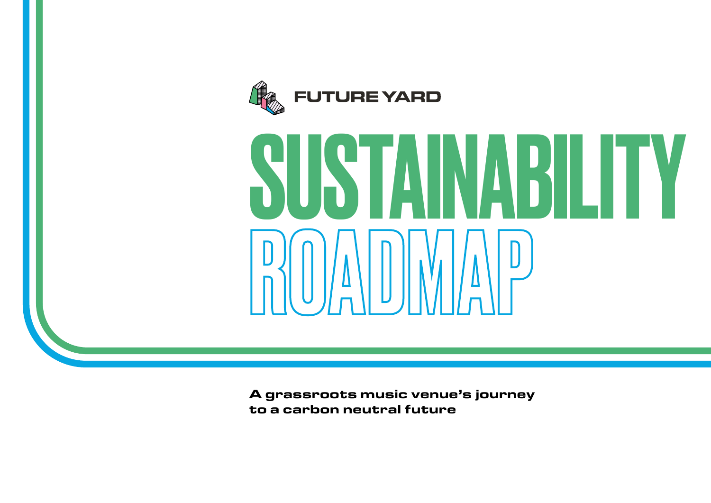



A grassroots music venue's journey to a carbon neutral future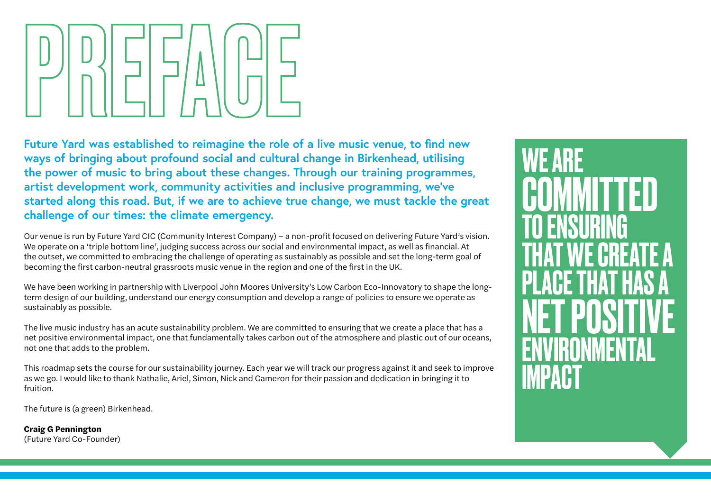

**Future Yard was established to reimagine the role of a live music venue, to find new ways of bringing about profound social and cultural change in Birkenhead, utilising the power of music to bring about these changes. Through our training programmes, artist development work, community activities and inclusive programming, we've started along this road. But, if we are to achieve true change, we must tackle the great challenge of our times: the climate emergency.** 

Our venue is run by Future Yard CIC (Community Interest Company) – a non-profit focused on delivering Future Yard's vision. We operate on a 'triple bottom line', judging success across our social and environmental impact, as well as financial. At the outset, we committed to embracing the challenge of operating as sustainably as possible and set the long-term goal of becoming the first carbon-neutral grassroots music venue in the region and one of the first in the UK.

We have been working in partnership with Liverpool John Moores University's Low Carbon Eco-Innovatory to shape the longterm design of our building, understand our energy consumption and develop a range of policies to ensure we operate as sustainably as possible.

The live music industry has an acute sustainability problem. We are committed to ensuring that we create a place that has a net positive environmental impact, one that fundamentally takes carbon out of the atmosphere and plastic out of our oceans, not one that adds to the problem.

This roadmap sets the course for our sustainability journey. Each year we will track our progress against it and seek to improve as we go. I would like to thank Nathalie, Ariel, Simon, Nick and Cameron for their passion and dedication in bringing it to fruition.

The future is (a green) Birkenhead.

**Craig G Pennington**  (Future Yard Co-Founder) WE ARE **COMMITTED** TO ENSURING THAT WE CREATE A PLACE THAT HAS A NET POSITIVE **ENVIRONMENTAL** IMPACT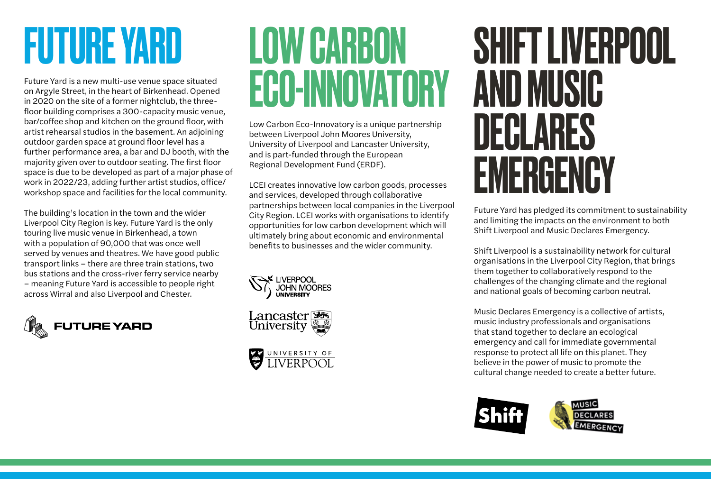# FUTURE YARD

Future Yard is a new multi-use venue space situated on Argyle Street, in the heart of Birkenhead. Opened in 2020 on the site of a former nightclub, the threefloor building comprises a 300-capacity music venue, bar/coffee shop and kitchen on the ground floor, with artist rehearsal studios in the basement. An adjoining outdoor garden space at ground floor level has a further performance area, a bar and DJ booth, with the majority given over to outdoor seating. The first floor space is due to be developed as part of a major phase of work in 2022/23, adding further artist studios, office/ workshop space and facilities for the local community.

The building's location in the town and the wider Liverpool City Region is key. Future Yard is the only touring live music venue in Birkenhead, a town with a population of 90,000 that was once well served by venues and theatres. We have good public transport links – there are three train stations, two bus stations and the cross-river ferry service nearby – meaning Future Yard is accessible to people right across Wirral and also Liverpool and Chester.



### LOW CARBON ECO-INNOVATORY

Low Carbon Eco-Innovatory is a unique partnership between Liverpool John Moores University, University of Liverpool and Lancaster University, and is part-funded through the European Regional Development Fund (ERDF).

LCEI creates innovative low carbon goods, processes and services, developed through collaborative partnerships between local companies in the Liverpool City Region. LCEI works with organisations to identify opportunities for low carbon development which will ultimately bring about economic and environmental benefits to businesses and the wider community.







### SHIFT LIVERPOOL AND MUSIC **DECLARES EMERGENCY**

Future Yard has pledged its commitment to sustainability and limiting the impacts on the environment to both Shift Liverpool and Music Declares Emergency.

Shift Liverpool is a sustainability network for cultural organisations in the Liverpool City Region, that brings them together to collaboratively respond to the challenges of the changing climate and the regional and national goals of becoming carbon neutral.

Music Declares Emergency is a collective of artists, music industry professionals and organisations that stand together to declare an ecological emergency and call for immediate governmental response to protect all life on this planet. They believe in the power of music to promote the cultural change needed to create a better future.

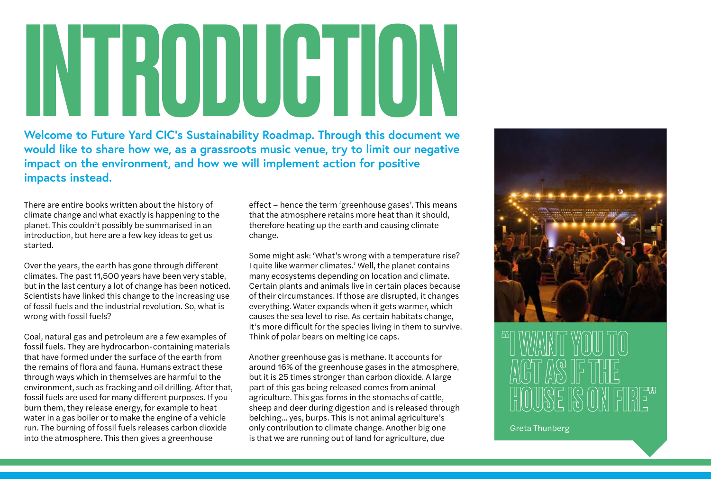# INTRODUCTION

**Welcome to Future Yard CIC's Sustainability Roadmap. Through this document we would like to share how we, as a grassroots music venue, try to limit our negative impact on the environment, and how we will implement action for positive impacts instead.**

There are entire books written about the history of climate change and what exactly is happening to the planet. This couldn't possibly be summarised in an introduction, but here are a few key ideas to get us started.

Over the years, the earth has gone through different climates. The past 11,500 years have been very stable, but in the last century a lot of change has been noticed. Scientists have linked this change to the increasing use of fossil fuels and the industrial revolution. So, what is wrong with fossil fuels?

Coal, natural gas and petroleum are a few examples of fossil fuels. They are hydrocarbon-containing materials that have formed under the surface of the earth from the remains of flora and fauna. Humans extract these through ways which in themselves are harmful to the environment, such as fracking and oil drilling. After that, fossil fuels are used for many different purposes. If you burn them, they release energy, for example to heat water in a gas boiler or to make the engine of a vehicle run. The burning of fossil fuels releases carbon dioxide into the atmosphere. This then gives a greenhouse

effect – hence the term 'greenhouse gases'. This means that the atmosphere retains more heat than it should, therefore heating up the earth and causing climate change.

Some might ask: 'What's wrong with a temperature rise? I quite like warmer climates.' Well, the planet contains many ecosystems depending on location and climate. Certain plants and animals live in certain places because of their circumstances. If those are disrupted, it changes everything. Water expands when it gets warmer, which causes the sea level to rise. As certain habitats change, it's more difficult for the species living in them to survive. Think of polar bears on melting ice caps.

Another greenhouse gas is methane. It accounts for around 16% of the greenhouse gases in the atmosphere, but it is 25 times stronger than carbon dioxide. A large part of this gas being released comes from animal agriculture. This gas forms in the stomachs of cattle, sheep and deer during digestion and is released through belching… yes, burps. This is not animal agriculture's only contribution to climate change. Another big one is that we are running out of land for agriculture, due



### " I WANT YOU TO ACT AS IF THE  $|||\psi||_2^2||\psi||_2^2$

Greta Thunberg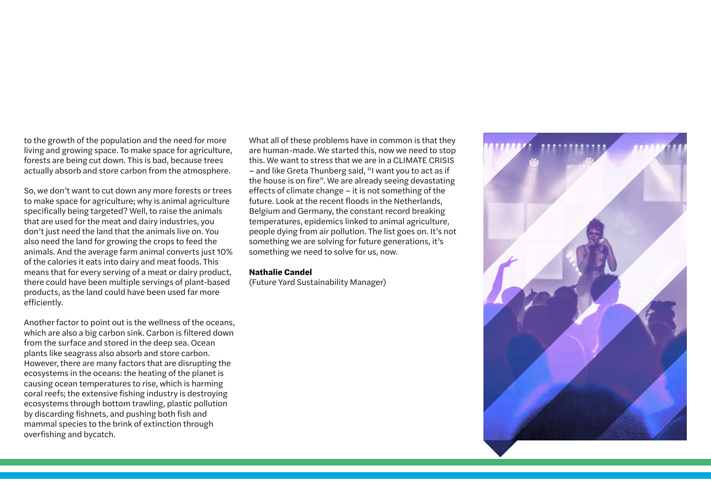to the growth of the population and the need for more living and growing space. To make space for agriculture, forests are being cut down. This is bad, because trees actually absorb and store carbon from the atmosphere.

So, we don't want to cut down any more forests or trees to make space for agriculture; why is animal agriculture specifically being targeted? Well, to raise the animals that are used for the meat and dairy industries, you don't just need the land that the animals live on. You also need the land for growing the crops to feed the animals. And the average farm animal converts just 10% of the calories it eats into dairy and meat foods. This means that for every serving of a meat or dairy product, there could have been multiple servings of plant-based products, as the land could have been used far more efficiently.

Another factor to point out is the wellness of the oceans, which are also a big carbon sink. Carbon is filtered down from the surface and stored in the deep sea. Ocean plants like seagrass also absorb and store carbon. However, there are many factors that are disrupting the ecosystems in the oceans: the heating of the planet is causing ocean temperatures to rise, which is harming coral reefs; the extensive fishing industry is destroying ecosystems through bottom trawling, plastic pollution by discarding fishnets, and pushing both fish and mammal species to the brink of extinction through overfishing and bycatch.

What all of these problems have in common is that they are human-made. We started this, now we need to stop this. We want to stress that we are in a CLIMATE CRISIS – and like Greta Thunberg said, "I want you to act as if the house is on fire". We are already seeing devastating effects of climate change – it is not something of the future. Look at the recent floods in the Netherlands, Belgium and Germany, the constant record breaking temperatures, epidemics linked to animal agriculture, people dying from air pollution. The list goes on. It's not something we are solving for future generations, it's something we need to solve for us, now.

#### **Nathalie Candel**

(Future Yard Sustainability Manager)

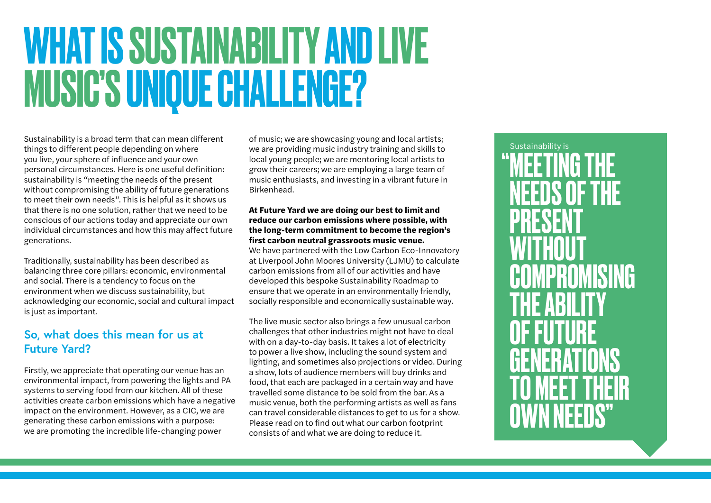### WHAT IS SUSTAINABILITY AND LIVE MUSIC'S UNIQUE CHALLENGE?

Sustainability is a broad term that can mean different things to different people depending on where you live, your sphere of influence and your own personal circumstances. Here is one useful definition: sustainability is "meeting the needs of the present without compromising the ability of future generations to meet their own needs". This is helpful as it shows us that there is no one solution, rather that we need to be conscious of our actions today and appreciate our own individual circumstances and how this may affect future generations.

Traditionally, sustainability has been described as balancing three core pillars: economic, environmental and social. There is a tendency to focus on the environment when we discuss sustainability, but acknowledging our economic, social and cultural impact is just as important.

#### **So, what does this mean for us at Future Yard?**

Firstly, we appreciate that operating our venue has an environmental impact, from powering the lights and PA systems to serving food from our kitchen. All of these activities create carbon emissions which have a negative impact on the environment. However, as a CIC, we are generating these carbon emissions with a purpose: we are promoting the incredible life-changing power

of music; we are showcasing young and local artists; we are providing music industry training and skills to local young people; we are mentoring local artists to grow their careers; we are employing a large team of music enthusiasts, and investing in a vibrant future in Birkenhead.

#### **At Future Yard we are doing our best to limit and reduce our carbon emissions where possible, with the long-term commitment to become the region's first carbon neutral grassroots music venue.**

We have partnered with the Low Carbon Eco-Innovatory at Liverpool John Moores University (LJMU) to calculate carbon emissions from all of our activities and have developed this bespoke Sustainability Roadmap to ensure that we operate in an environmentally friendly, socially responsible and economically sustainable way.

The live music sector also brings a few unusual carbon challenges that other industries might not have to deal with on a day-to-day basis. It takes a lot of electricity to power a live show, including the sound system and lighting, and sometimes also projections or video. During a show, lots of audience members will buy drinks and food, that each are packaged in a certain way and have travelled some distance to be sold from the bar. As a music venue, both the performing artists as well as fans can travel considerable distances to get to us for a show. Please read on to find out what our carbon footprint consists of and what we are doing to reduce it.

Sustainability is "MEETING THE NEEDS OF THE **PRESENT WITHOUT** COMPROMISING THE ABII OF FUTURE GENERATI TO MEET THEIR OWN NEEDS"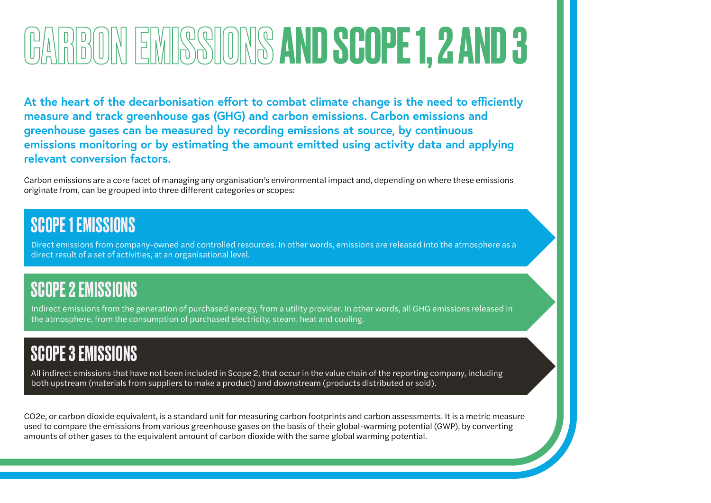# CARBON EMISSIONS AND SCOPE 1, 2 AND 3

**At the heart of the decarbonisation effort to combat climate change is the need to efficiently measure and track greenhouse gas (GHG) and carbon emissions. Carbon emissions and greenhouse gases can be measured by recording emissions at source, by continuous emissions monitoring or by estimating the amount emitted using activity data and applying relevant conversion factors.**

Carbon emissions are a core facet of managing any organisation's environmental impact and, depending on where these emissions originate from, can be grouped into three different categories or scopes:

### SCOPE 1 EMISSIONS

Direct emissions from company-owned and controlled resources. In other words, emissions are released into the atmosphere as a direct result of a set of activities, at an organisational level.

### SCOPE 2 EMISSIONS

Indirect emissions from the generation of purchased energy, from a utility provider. In other words, all GHG emissions released in the atmosphere, from the consumption of purchased electricity, steam, heat and cooling.

### SCOPE 3 EMISSIONS

All indirect emissions that have not been included in Scope 2, that occur in the value chain of the reporting company, including both upstream (materials from suppliers to make a product) and downstream (products distributed or sold).

CO2e, or carbon dioxide equivalent, is a standard unit for measuring carbon footprints and carbon assessments. It is a metric measure used to compare the emissions from various greenhouse gases on the basis of their global-warming potential (GWP), by converting amounts of other gases to the equivalent amount of carbon dioxide with the same global warming potential.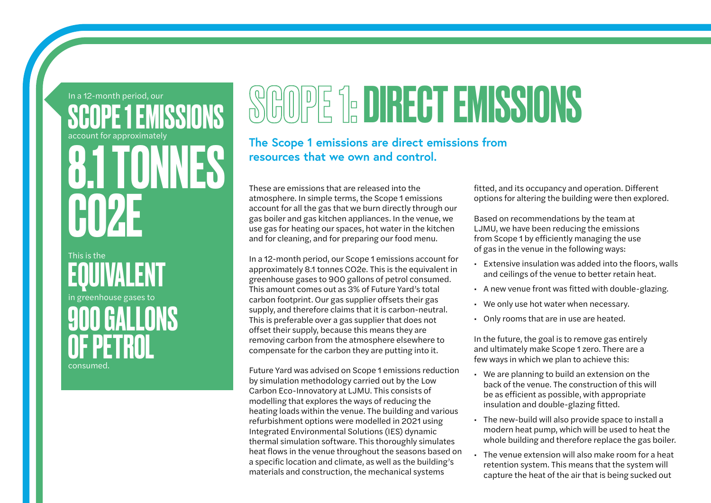### In a 12-month period, our SCOPE 1 EMISSIONS account for approximately 8.1 TONNES CO2E

This is the EQUIVALENT in greenhouse gases to **O GALLONS** OF PETROL consumed.

# **SCOPE 1: DIRECT EMISSIONS**

#### **The Scope 1 emissions are direct emissions from resources that we own and control.**

These are emissions that are released into the atmosphere. In simple terms, the Scope 1 emissions account for all the gas that we burn directly through our gas boiler and gas kitchen appliances. In the venue, we use gas for heating our spaces, hot water in the kitchen and for cleaning, and for preparing our food menu.

In a 12-month period, our Scope 1 emissions account for approximately 8.1 tonnes CO2e. This is the equivalent in greenhouse gases to 900 gallons of petrol consumed. This amount comes out as 3% of Future Yard's total carbon footprint. Our gas supplier offsets their gas supply, and therefore claims that it is carbon-neutral. This is preferable over a gas supplier that does not offset their supply, because this means they are removing carbon from the atmosphere elsewhere to compensate for the carbon they are putting into it.

Future Yard was advised on Scope 1 emissions reduction by simulation methodology carried out by the Low Carbon Eco-Innovatory at LJMU. This consists of modelling that explores the ways of reducing the heating loads within the venue. The building and various refurbishment options were modelled in 2021 using Integrated Environmental Solutions (IES) dynamic thermal simulation software. This thoroughly simulates heat flows in the venue throughout the seasons based on a specific location and climate, as well as the building's materials and construction, the mechanical systems

fitted, and its occupancy and operation. Different options for altering the building were then explored.

Based on recommendations by the team at LJMU, we have been reducing the emissions from Scope 1 by efficiently managing the use of gas in the venue in the following ways:

- Extensive insulation was added into the floors, walls and ceilings of the venue to better retain heat.
- A new venue front was fitted with double-glazing.
- We only use hot water when necessary.
- Only rooms that are in use are heated.

In the future, the goal is to remove gas entirely and ultimately make Scope 1 zero. There are a few ways in which we plan to achieve this:

- We are planning to build an extension on the back of the venue. The construction of this will be as efficient as possible, with appropriate insulation and double-glazing fitted.
- The new-build will also provide space to install a modern heat pump, which will be used to heat the whole building and therefore replace the gas boiler.
- The venue extension will also make room for a heat retention system. This means that the system will capture the heat of the air that is being sucked out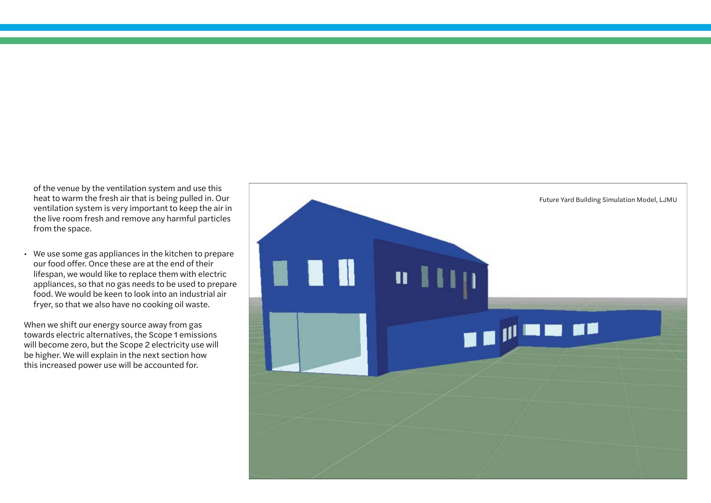of the venue by the ventilation system and use this heat to warm the fresh air that is being pulled in. Our ventilation system is very important to keep the air in the live room fresh and remove any harmful particles from the space.

• We use some gas appliances in the kitchen to prepare our food offer. Once these are at the end of their lifespan, we would like to replace them with electric appliances, so that no gas needs to be used to prepare food. We would be keen to look into an industrial air fryer, so that we also have no cooking oil waste.

When we shift our energy source away from gas towards electric alternatives, the Scope 1 emissions will become zero, but the Scope 2 electricity use will be higher. We will explain in the next section how this increased power use will be accounted for.

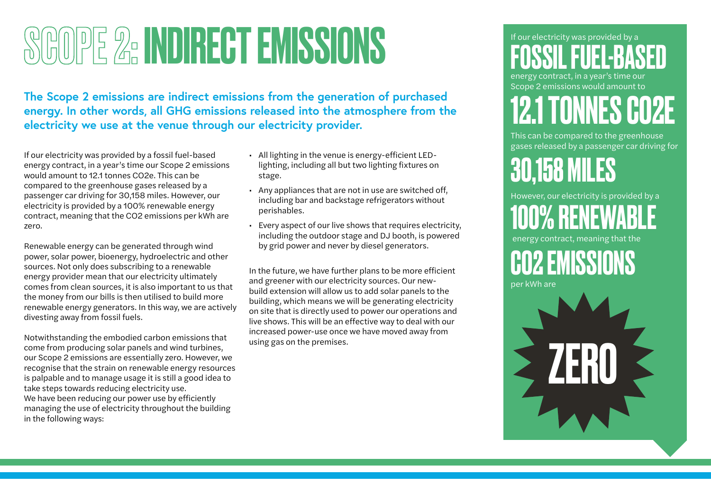# **SGOPE 2: INDIRECT EMISSIONS**

**The Scope 2 emissions are indirect emissions from the generation of purchased energy. In other words, all GHG emissions released into the atmosphere from the electricity we use at the venue through our electricity provider.** 

If our electricity was provided by a fossil fuel-based energy contract, in a year's time our Scope 2 emissions would amount to 12.1 tonnes CO2e. This can be compared to the greenhouse gases released by a passenger car driving for 30,158 miles. However, our electricity is provided by a 100% renewable energy contract, meaning that the CO2 emissions per kWh are zero.

Renewable energy can be generated through wind power, solar power, bioenergy, hydroelectric and other sources. Not only does subscribing to a renewable energy provider mean that our electricity ultimately comes from clean sources, it is also important to us that the money from our bills is then utilised to build more renewable energy generators. In this way, we are actively divesting away from fossil fuels.

Notwithstanding the embodied carbon emissions that come from producing solar panels and wind turbines, our Scope 2 emissions are essentially zero. However, we recognise that the strain on renewable energy resources is palpable and to manage usage it is still a good idea to take steps towards reducing electricity use. We have been reducing our power use by efficiently managing the use of electricity throughout the building in the following ways:

- All lighting in the venue is energy-efficient LEDlighting, including all but two lighting fixtures on stage.
- Any appliances that are not in use are switched off, including bar and backstage refrigerators without perishables.
- Every aspect of our live shows that requires electricity, including the outdoor stage and DJ booth, is powered by grid power and never by diesel generators.

In the future, we have further plans to be more efficient and greener with our electricity sources. Our newbuild extension will allow us to add solar panels to the building, which means we will be generating electricity on site that is directly used to power our operations and live shows. This will be an effective way to deal with our increased power-use once we have moved away from using gas on the premises.

### If our electricity was provided by a FOSSIL FUEL-BASED

energy contract, in a year's time our Scope 2 emissions would amount to

### 12.1 TONNES CO2E

This can be compared to the greenhouse gases released by a passenger car driving for

### 30,158 MILES

However, our electricity is provided by a 100% RENEWABLE

energy contract, meaning that the

### CO2 EMISSIONS

ZERO

per kWh are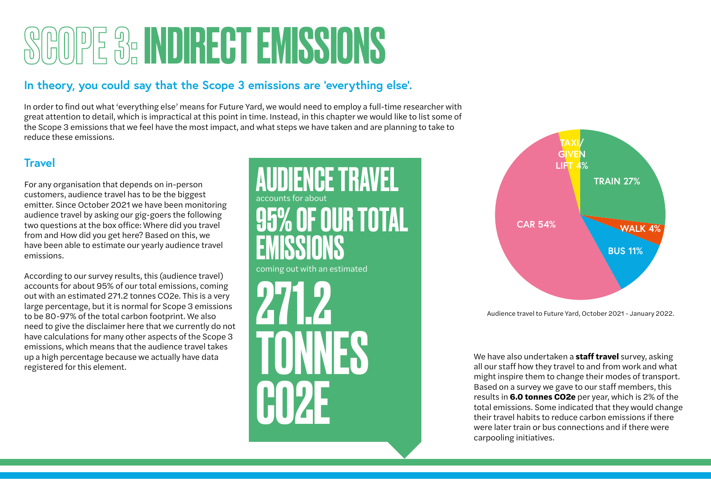# **SCOPE 3: INDIRECT EMISSIONS**

#### **In theory, you could say that the Scope 3 emissions are 'everything else'.**

In order to find out what 'everything else' means for Future Yard, we would need to employ a full-time researcher with great attention to detail, which is impractical at this point in time. Instead, in this chapter we would like to list some of the Scope 3 emissions that we feel have the most impact, and what steps we have taken and are planning to take to reduce these emissions.

#### **Travel**

For any organisation that depends on in-person customers, audience travel has to be the biggest emitter. Since October 2021 we have been monitoring audience travel by asking our gig-goers the following two questions at the box office: Where did you travel from and How did you get here? Based on this, we have been able to estimate our yearly audience travel emissions.

According to our survey results, this (audience travel) accounts for about 95% of our total emissions, coming out with an estimated 271.2 tonnes CO2e. This is a very large percentage, but it is normal for Scope 3 emissions to be 80-97% of the total carbon footprint. We also need to give the disclaimer here that we currently do not have calculations for many other aspects of the Scope 3 emissions, which means that the audience travel takes up a high percentage because we actually have data registered for this element.

### AUDIENCE TRAVEL accounts for about 95% OF OUR TOTAL EMISSIONS

coming out with an estimated

271.2 TONNES CO2E



Audience travel to Future Yard, October 2021 - January 2022.

We have also undertaken a **staff travel** survey, asking all our staff how they travel to and from work and what might inspire them to change their modes of transport. Based on a survey we gave to our staff members, this results in **6.0 tonnes CO2e** per year, which is 2% of the total emissions. Some indicated that they would change their travel habits to reduce carbon emissions if there were later train or bus connections and if there were carpooling initiatives.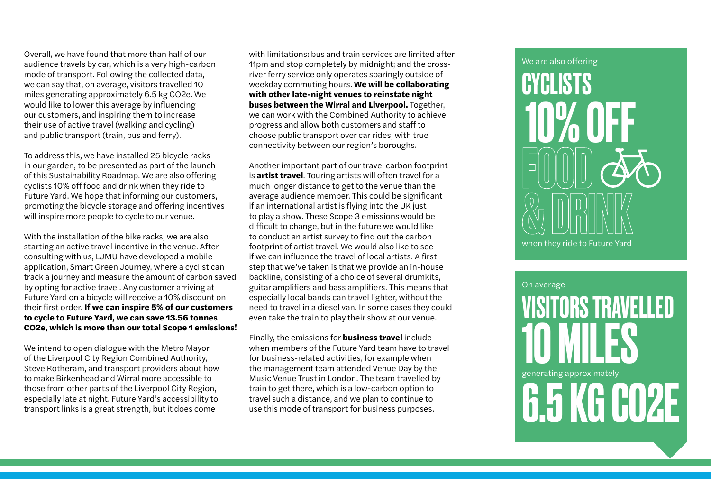Overall, we have found that more than half of our audience travels by car, which is a very high-carbon mode of transport. Following the collected data, we can say that, on average, visitors travelled 10 miles generating approximately 6.5 kg CO2e. We would like to lower this average by influencing our customers, and inspiring them to increase their use of active travel (walking and cycling) and public transport (train, bus and ferry).

To address this, we have installed 25 bicycle racks in our garden, to be presented as part of the launch of this Sustainability Roadmap. We are also offering cyclists 10% off food and drink when they ride to Future Yard. We hope that informing our customers, promoting the bicycle storage and offering incentives will inspire more people to cycle to our venue.

With the installation of the bike racks, we are also starting an active travel incentive in the venue. After consulting with us, LJMU have developed a mobile application, Smart Green Journey, where a cyclist can track a journey and measure the amount of carbon saved by opting for active travel. Any customer arriving at Future Yard on a bicycle will receive a 10% discount on their first order. **If we can inspire 5% of our customers to cycle to Future Yard, we can save 13.56 tonnes CO2e, which is more than our total Scope 1 emissions!**

We intend to open dialogue with the Metro Mayor of the Liverpool City Region Combined Authority, Steve Rotheram, and transport providers about how to make Birkenhead and Wirral more accessible to those from other parts of the Liverpool City Region, especially late at night. Future Yard's accessibility to transport links is a great strength, but it does come

with limitations: bus and train services are limited after 11pm and stop completely by midnight; and the crossriver ferry service only operates sparingly outside of weekday commuting hours. **We will be collaborating with other late-night venues to reinstate night buses between the Wirral and Liverpool.** Together, we can work with the Combined Authority to achieve progress and allow both customers and staff to choose public transport over car rides, with true connectivity between our region's boroughs.

Another important part of our travel carbon footprint is **artist travel**. Touring artists will often travel for a much longer distance to get to the venue than the average audience member. This could be significant if an international artist is flying into the UK just to play a show. These Scope 3 emissions would be difficult to change, but in the future we would like to conduct an artist survey to find out the carbon footprint of artist travel. We would also like to see if we can influence the travel of local artists. A first step that we've taken is that we provide an in-house backline, consisting of a choice of several drumkits, guitar amplifiers and bass amplifiers. This means that especially local bands can travel lighter, without the need to travel in a diesel van. In some cases they could even take the train to play their show at our venue.

Finally, the emissions for **business travel** include when members of the Future Yard team have to travel for business-related activities, for example when the management team attended Venue Day by the Music Venue Trust in London. The team travelled by train to get there, which is a low-carbon option to travel such a distance, and we plan to continue to use this mode of transport for business purposes.

### We are also offering **CYCLISTS** 10% OFF FOOD & when they ride to Future Yard

VISITORS TRAVELLED

6.5 KG CO2E

10 MILES

generating approximately

#### On average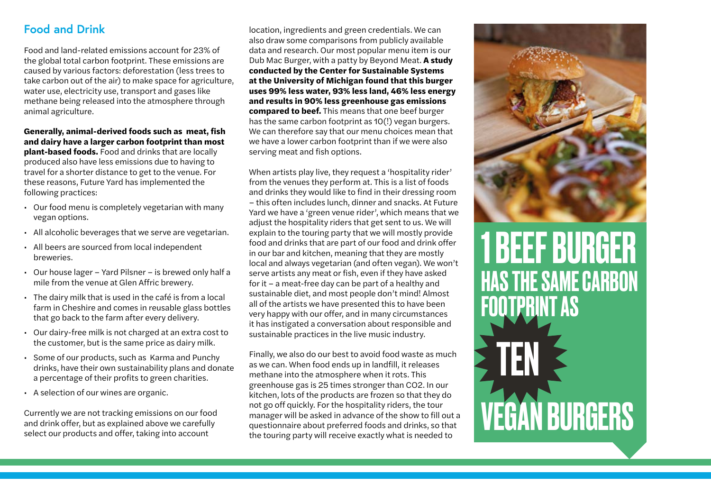#### **Food and Drink**

Food and land-related emissions account for 23% of the global total carbon footprint. These emissions are caused by various factors: deforestation (less trees to take carbon out of the air) to make space for agriculture, water use, electricity use, transport and gases like methane being released into the atmosphere through animal agriculture.

#### **Generally, animal-derived foods such as meat, fish and dairy have a larger carbon footprint than most plant-based foods.** Food and drinks that are locally produced also have less emissions due to having to travel for a shorter distance to get to the venue. For these reasons, Future Yard has implemented the following practices:

- Our food menu is completely vegetarian with many vegan options.
- All alcoholic beverages that we serve are vegetarian.
- All beers are sourced from local independent breweries.
- Our house lager Yard Pilsner is brewed only half a mile from the venue at Glen Affric brewery.
- The dairy milk that is used in the café is from a local farm in Cheshire and comes in reusable glass bottles that go back to the farm after every delivery.
- Our dairy-free milk is not charged at an extra cost to the customer, but is the same price as dairy milk.
- Some of our products, such as Karma and Punchy drinks, have their own sustainability plans and donate a percentage of their profits to green charities.
- A selection of our wines are organic.

Currently we are not tracking emissions on our food and drink offer, but as explained above we carefully select our products and offer, taking into account

location, ingredients and green credentials. We can also draw some comparisons from publicly available data and research. Our most popular menu item is our Dub Mac Burger, with a patty by Beyond Meat. **A study conducted by the Center for Sustainable Systems at the University of Michigan found that this burger uses 99% less water, 93% less land, 46% less energy and results in 90% less greenhouse gas emissions compared to beef.** This means that one beef burger has the same carbon footprint as 10(!) vegan burgers. We can therefore say that our menu choices mean that we have a lower carbon footprint than if we were also serving meat and fish options.

When artists play live, they request a 'hospitality rider' from the venues they perform at. This is a list of foods and drinks they would like to find in their dressing room – this often includes lunch, dinner and snacks. At Future Yard we have a 'green venue rider', which means that we adjust the hospitality riders that get sent to us. We will explain to the touring party that we will mostly provide food and drinks that are part of our food and drink offer in our bar and kitchen, meaning that they are mostly local and always vegetarian (and often vegan). We won't serve artists any meat or fish, even if they have asked for it – a meat-free day can be part of a healthy and sustainable diet, and most people don't mind! Almost all of the artists we have presented this to have been very happy with our offer, and in many circumstances it has instigated a conversation about responsible and sustainable practices in the live music industry.

Finally, we also do our best to avoid food waste as much as we can. When food ends up in landfill, it releases methane into the atmosphere when it rots. This greenhouse gas is 25 times stronger than CO2. In our kitchen, lots of the products are frozen so that they do not go off quickly. For the hospitality riders, the tour manager will be asked in advance of the show to fill out a questionnaire about preferred foods and drinks, so that the touring party will receive exactly what is needed to



### 1 BEEF BURGER HAS THE SAME CARBON FOOTPRINT AS **EGAN BURGERS** TEN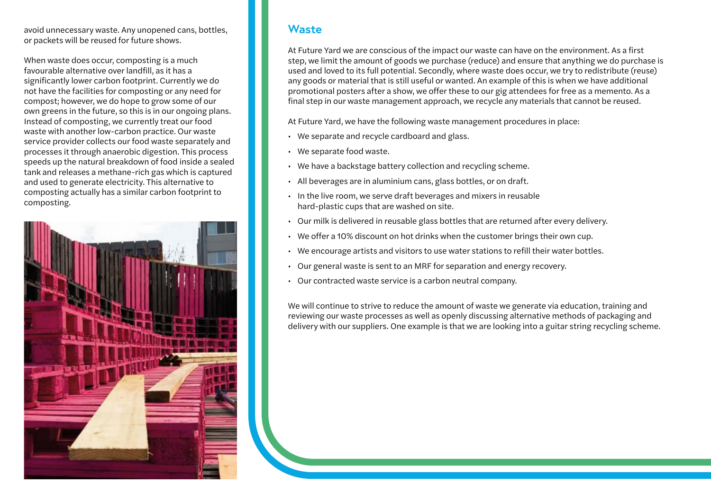avoid unnecessary waste. Any unopened cans, bottles, or packets will be reused for future shows.

When waste does occur, composting is a much favourable alternative over landfill, as it has a significantly lower carbon footprint. Currently we do not have the facilities for composting or any need for compost; however, we do hope to grow some of our own greens in the future, so this is in our ongoing plans. Instead of composting, we currently treat our food waste with another low-carbon practice. Our waste service provider collects our food waste separately and processes it through anaerobic digestion. This process speeds up the natural breakdown of food inside a sealed tank and releases a methane-rich gas which is captured and used to generate electricity. This alternative to composting actually has a similar carbon footprint to composting.



#### **Waste**

At Future Yard we are conscious of the impact our waste can have on the environment. As a first step, we limit the amount of goods we purchase (reduce) and ensure that anything we do purchase is used and loved to its full potential. Secondly, where waste does occur, we try to redistribute (reuse) any goods or material that is still useful or wanted. An example of this is when we have additional promotional posters after a show, we offer these to our gig attendees for free as a memento. As a final step in our waste management approach, we recycle any materials that cannot be reused.

At Future Yard, we have the following waste management procedures in place:

- We separate and recycle cardboard and glass.
- We separate food waste.
- We have a backstage battery collection and recycling scheme.
- All beverages are in aluminium cans, glass bottles, or on draft.
- In the live room, we serve draft beverages and mixers in reusable hard-plastic cups that are washed on site.
- Our milk is delivered in reusable glass bottles that are returned after every delivery.
- We offer a 10% discount on hot drinks when the customer brings their own cup.
- We encourage artists and visitors to use water stations to refill their water bottles.
- Our general waste is sent to an MRF for separation and energy recovery.
- Our contracted waste service is a carbon neutral company.

We will continue to strive to reduce the amount of waste we generate via education, training and reviewing our waste processes as well as openly discussing alternative methods of packaging and delivery with our suppliers. One example is that we are looking into a guitar string recycling scheme.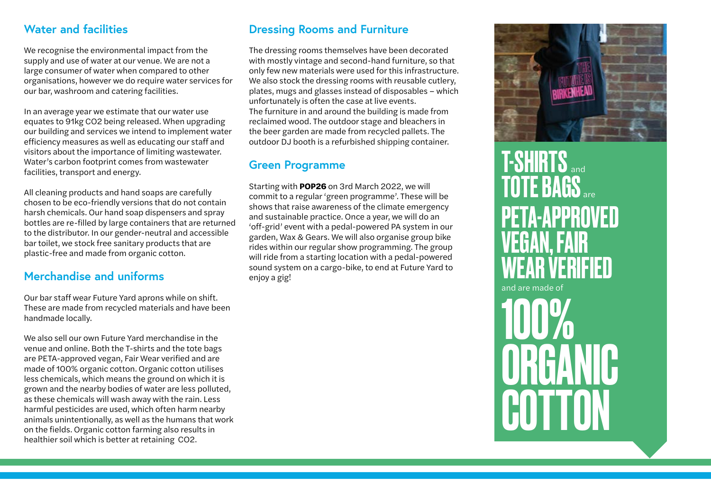#### **Water and facilities**

We recognise the environmental impact from the supply and use of water at our venue. We are not a large consumer of water when compared to other organisations, however we do require water services for our bar, washroom and catering facilities.

In an average year we estimate that our water use equates to 91kg CO2 being released. When upgrading our building and services we intend to implement water efficiency measures as well as educating our staff and visitors about the importance of limiting wastewater. Water's carbon footprint comes from wastewater facilities, transport and energy.

All cleaning products and hand soaps are carefully chosen to be eco-friendly versions that do not contain harsh chemicals. Our hand soap dispensers and spray bottles are re-filled by large containers that are returned to the distributor. In our gender-neutral and accessible bar toilet, we stock free sanitary products that are plastic-free and made from organic cotton.

#### **Merchandise and uniforms**

Our bar staff wear Future Yard aprons while on shift. These are made from recycled materials and have been handmade locally.

We also sell our own Future Yard merchandise in the venue and online. Both the T-shirts and the tote bags are PETA-approved vegan, Fair Wear verified and are made of 100% organic cotton. Organic cotton utilises less chemicals, which means the ground on which it is grown and the nearby bodies of water are less polluted, as these chemicals will wash away with the rain. Less harmful pesticides are used, which often harm nearby animals unintentionally, as well as the humans that work on the fields. Organic cotton farming also results in healthier soil which is better at retaining CO2.

#### **Dressing Rooms and Furniture**

The dressing rooms themselves have been decorated with mostly vintage and second-hand furniture, so that only few new materials were used for this infrastructure. We also stock the dressing rooms with reusable cutlery, plates, mugs and glasses instead of disposables – which unfortunately is often the case at live events. The furniture in and around the building is made from reclaimed wood. The outdoor stage and bleachers in the beer garden are made from recycled pallets. The outdoor DJ booth is a refurbished shipping container.

#### **Green Programme**

Starting with **POP26** on 3rd March 2022, we will commit to a regular 'green programme'. These will be shows that raise awareness of the climate emergency and sustainable practice. Once a year, we will do an 'off-grid' event with a pedal-powered PA system in our garden, Wax & Gears. We will also organise group bike rides within our regular show programming. The group will ride from a starting location with a pedal-powered sound system on a cargo-bike, to end at Future Yard to enjoy a gig!



### **T-SHIRTS** and TOTE BAGS PETA-APPROVED VEGAN, FAIR WEAR VERIFIED and are made of 100% ORGANIC **COTTON**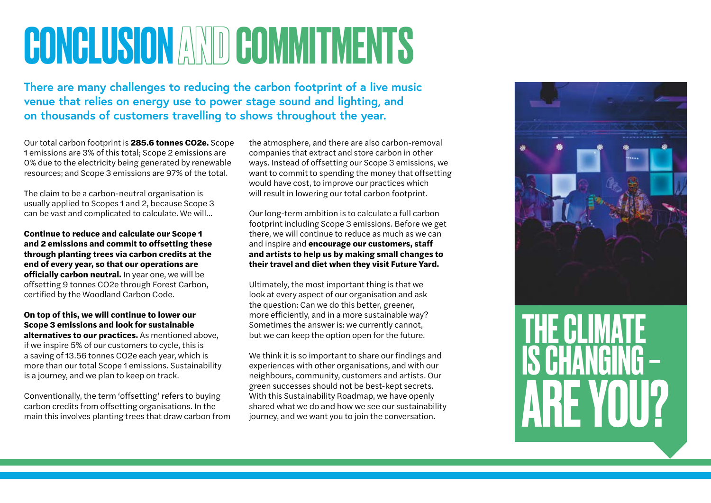# CONCLUSION AND COMMITMENTS

**There are many challenges to reducing the carbon footprint of a live music venue that relies on energy use to power stage sound and lighting, and on thousands of customers travelling to shows throughout the year.** 

Our total carbon footprint is **285.6 tonnes CO2e.** Scope 1 emissions are 3% of this total; Scope 2 emissions are 0% due to the electricity being generated by renewable resources; and Scope 3 emissions are 97% of the total.

The claim to be a carbon-neutral organisation is usually applied to Scopes 1 and 2, because Scope 3 can be vast and complicated to calculate. We will…

**Continue to reduce and calculate our Scope 1 and 2 emissions and commit to offsetting these through planting trees via carbon credits at the end of every year, so that our operations are officially carbon neutral.** In year one, we will be offsetting 9 tonnes CO2e through Forest Carbon, certified by the Woodland Carbon Code.

**On top of this, we will continue to lower our Scope 3 emissions and look for sustainable alternatives to our practices.** As mentioned above, if we inspire 5% of our customers to cycle, this is a saving of 13.56 tonnes CO2e each year, which is more than our total Scope 1 emissions. Sustainability is a journey, and we plan to keep on track.

Conventionally, the term 'offsetting' refers to buying carbon credits from offsetting organisations. In the main this involves planting trees that draw carbon from the atmosphere, and there are also carbon-removal companies that extract and store carbon in other ways. Instead of offsetting our Scope 3 emissions, we want to commit to spending the money that offsetting would have cost, to improve our practices which will result in lowering our total carbon footprint.

Our long-term ambition is to calculate a full carbon footprint including Scope 3 emissions. Before we get there, we will continue to reduce as much as we can and inspire and **encourage our customers, staff and artists to help us by making small changes to their travel and diet when they visit Future Yard.**

Ultimately, the most important thing is that we look at every aspect of our organisation and ask the question: Can we do this better, greener, more efficiently, and in a more sustainable way? Sometimes the answer is: we currently cannot, but we can keep the option open for the future.

We think it is so important to share our findings and experiences with other organisations, and with our neighbours, community, customers and artists. Our green successes should not be best-kept secrets. With this Sustainability Roadmap, we have openly shared what we do and how we see our sustainability journey, and we want you to join the conversation.



### THE CLIMATE IS CHANGING – ARE YOU?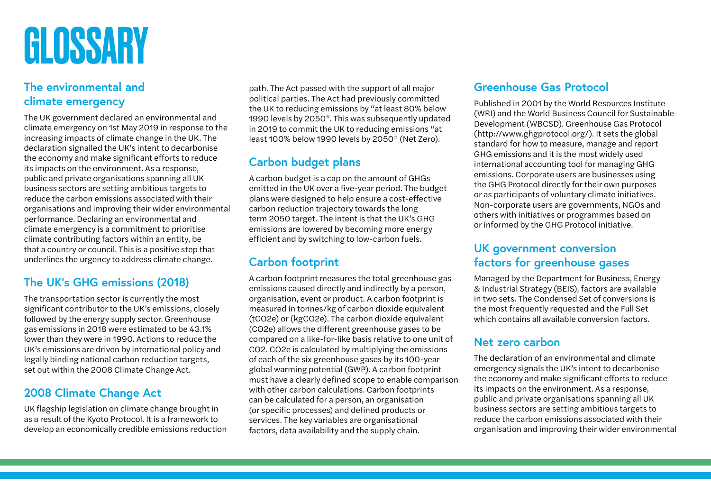# **GLOSSARY**

#### **The environmental and climate emergency**

The UK government declared an environmental and climate emergency on 1st May 2019 in response to the increasing impacts of climate change in the UK. The declaration signalled the UK's intent to decarbonise the economy and make significant efforts to reduce its impacts on the environment. As a response, public and private organisations spanning all UK business sectors are setting ambitious targets to reduce the carbon emissions associated with their organisations and improving their wider environmental performance. Declaring an environmental and climate emergency is a commitment to prioritise climate contributing factors within an entity, be that a country or council. This is a positive step that underlines the urgency to address climate change.

#### **The UK's GHG emissions (2018)**

The transportation sector is currently the most significant contributor to the UK's emissions, closely followed by the energy supply sector. Greenhouse gas emissions in 2018 were estimated to be 43.1% lower than they were in 1990. Actions to reduce the UK's emissions are driven by international policy and legally binding national carbon reduction targets, set out within the 2008 Climate Change Act.

#### **2008 Climate Change Act**

UK flagship legislation on climate change brought in as a result of the Kyoto Protocol. It is a framework to develop an economically credible emissions reduction path. The Act passed with the support of all major political parties. The Act had previously committed the UK to reducing emissions by "at least 80% below 1990 levels by 2050". This was subsequently updated in 2019 to commit the UK to reducing emissions "at least 100% below 1990 levels by 2050" (Net Zero).

#### **Carbon budget plans**

A carbon budget is a cap on the amount of GHGs emitted in the UK over a five-year period. The budget plans were designed to help ensure a cost-effective carbon reduction trajectory towards the long term 2050 target. The intent is that the UK's GHG emissions are lowered by becoming more energy efficient and by switching to low-carbon fuels.

#### **Carbon footprint**

A carbon footprint measures the total greenhouse gas emissions caused directly and indirectly by a person, organisation, event or product. A carbon footprint is measured in tonnes/kg of carbon dioxide equivalent (tCO2e) or (kgCO2e). The carbon dioxide equivalent (CO2e) allows the different greenhouse gases to be compared on a like-for-like basis relative to one unit of CO2. CO2e is calculated by multiplying the emissions of each of the six greenhouse gases by its 100-year global warming potential (GWP). A carbon footprint must have a clearly defined scope to enable comparison with other carbon calculations. Carbon footprints can be calculated for a person, an organisation (or specific processes) and defined products or services. The key variables are organisational factors, data availability and the supply chain.

#### **Greenhouse Gas Protocol**

Published in 2001 by the World Resources Institute (WRI) and the World Business Council for Sustainable Development (WBCSD). Greenhouse Gas Protocol (http://www.ghgprotocol.org/). It sets the global standard for how to measure, manage and report GHG emissions and it is the most widely used international accounting tool for managing GHG emissions. Corporate users are businesses using the GHG Protocol directly for their own purposes or as participants of voluntary climate initiatives. Non-corporate users are governments, NGOs and others with initiatives or programmes based on or informed by the GHG Protocol initiative.

#### **UK government conversion factors for greenhouse gases**

Managed by the Department for Business, Energy & Industrial Strategy (BEIS), factors are available in two sets. The Condensed Set of conversions is the most frequently requested and the Full Set which contains all available conversion factors.

#### **Net zero carbon**

The declaration of an environmental and climate emergency signals the UK's intent to decarbonise the economy and make significant efforts to reduce its impacts on the environment. As a response, public and private organisations spanning all UK business sectors are setting ambitious targets to reduce the carbon emissions associated with their organisation and improving their wider environmental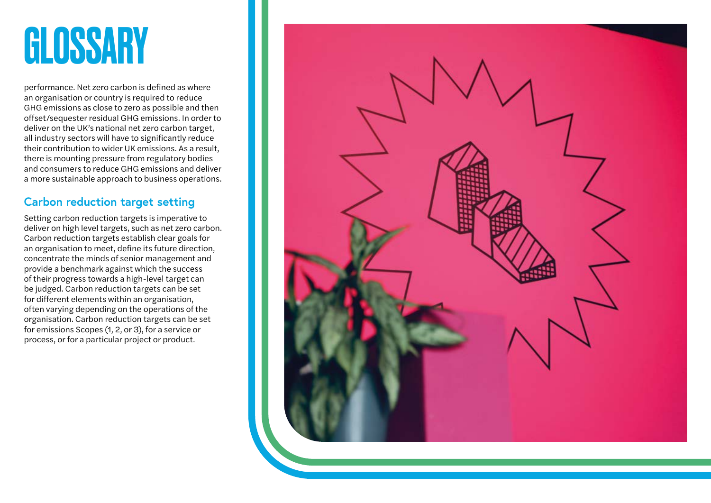# **GLOSSARY**

performance. Net zero carbon is defined as where an organisation or country is required to reduce GHG emissions as close to zero as possible and then offset/sequester residual GHG emissions. In order to deliver on the UK's national net zero carbon target, all industry sectors will have to significantly reduce their contribution to wider UK emissions. As a result, there is mounting pressure from regulatory bodies and consumers to reduce GHG emissions and deliver a more sustainable approach to business operations.

#### **Carbon reduction target setting**

Setting carbon reduction targets is imperative to deliver on high level targets, such as net zero carbon. Carbon reduction targets establish clear goals for an organisation to meet, define its future direction, concentrate the minds of senior management and provide a benchmark against which the success of their progress towards a high-level target can be judged. Carbon reduction targets can be set for different elements within an organisation, often varying depending on the operations of the organisation. Carbon reduction targets can be set for emissions Scopes (1, 2, or 3), for a service or process, or for a particular project or product.

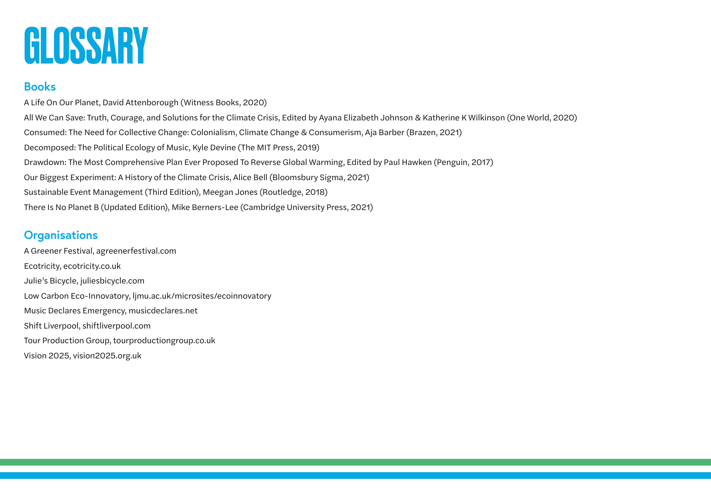# **GLOSSARY**

#### **Books**

A Life On Our Planet, David Attenborough (Witness Books, 2020) All We Can Save: Truth, Courage, and Solutions for the Climate Crisis, Edited by Ayana Elizabeth Johnson & Katherine K Wilkinson (One World, 2020) Consumed: The Need for Collective Change: Colonialism, Climate Change & Consumerism, Aja Barber (Brazen, 2021) Decomposed: The Political Ecology of Music, Kyle Devine (The MIT Press, 2019) Drawdown: The Most Comprehensive Plan Ever Proposed To Reverse Global Warming, Edited by Paul Hawken (Penguin, 2017) Our Biggest Experiment: A History of the Climate Crisis, Alice Bell (Bloomsbury Sigma, 2021) Sustainable Event Management (Third Edition), Meegan Jones (Routledge, 2018) There Is No Planet B (Updated Edition), Mike Berners-Lee (Cambridge University Press, 2021)

#### **Organisations**

A Greener Festival, agreenerfestival.com Ecotricity, ecotricity.co.uk Julie's Bicycle, juliesbicycle.com Low Carbon Eco-Innovatory, ljmu.ac.uk/microsites/ecoinnovatory Music Declares Emergency, musicdeclares.net Shift Liverpool, shiftliverpool.com Tour Production Group, tourproductiongroup.co.uk Vision 2025, vision2025.org.uk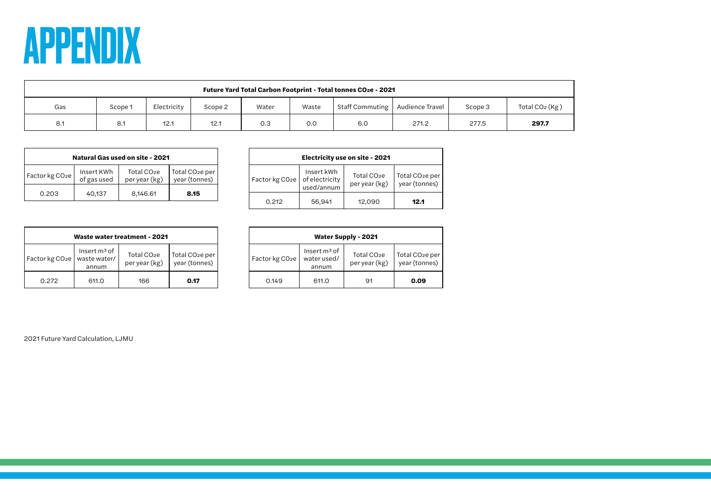### APPENDIX

| Future Yard Total Carbon Footprint - Total tonnes CO <sub>2</sub> e - 2021 |         |             |         |       |       |                 |                 |         |                  |
|----------------------------------------------------------------------------|---------|-------------|---------|-------|-------|-----------------|-----------------|---------|------------------|
| Gas                                                                        | Scope 1 | Electricity | Scope 2 | Water | Waste | Staff Commuting | Audience Travel | Scope 3 | Total $CO2$ (Kg) |
| 8.1                                                                        | 8.1     | 12.1        | 12.1    | 0.3   | 0.0   | 6.0             | 271.2           | 277.5   | 297.7            |

| <b>Natural Gas used on site - 2021</b> |                           |                                          |                                              |  |  |
|----------------------------------------|---------------------------|------------------------------------------|----------------------------------------------|--|--|
| Factor kg CO <sub>2</sub> e            | Insert KWh<br>of gas used | Total CO <sub>2</sub> e<br>per year (kg) | Total CO <sub>2</sub> e per<br>year (tonnes) |  |  |
| 0.203                                  | 40,137                    | 8,146.61                                 | 8.15                                         |  |  |

| Electricity use on site - 2021 |                                            |                                          |                                              |  |  |
|--------------------------------|--------------------------------------------|------------------------------------------|----------------------------------------------|--|--|
| Factor kg CO2e                 | Insert kWh<br>of electricity<br>used/annum | Total CO <sub>2</sub> e<br>per year (kg) | Total CO <sub>2</sub> e per<br>year (tonnes) |  |  |
| 0.212                          | 56,941                                     | 12,090                                   | 12.1                                         |  |  |

| Waste water treatment - 2021 |                                                   |                                          |                                              |  |  |
|------------------------------|---------------------------------------------------|------------------------------------------|----------------------------------------------|--|--|
| Factor kg CO <sub>2e</sub>   | Insert m <sup>3</sup> of<br>waste water/<br>annum | Total CO <sub>2</sub> e<br>per year (kg) | Total CO <sub>2</sub> e per<br>year (tonnes) |  |  |
| 0.272                        | 611.0                                             | 166                                      | 0.17                                         |  |  |

| Water Supply - 2021         |                                        |                                          |                                              |  |  |
|-----------------------------|----------------------------------------|------------------------------------------|----------------------------------------------|--|--|
| Factor kg CO <sub>2</sub> e | Insert $m3$ of<br>water used/<br>annum | Total CO <sub>2</sub> e<br>per year (kg) | Total CO <sub>2</sub> e per<br>year (tonnes) |  |  |
| 0.149                       | 611.0                                  | 91                                       | 0.09                                         |  |  |

2021 Future Yard Calculation, LJMU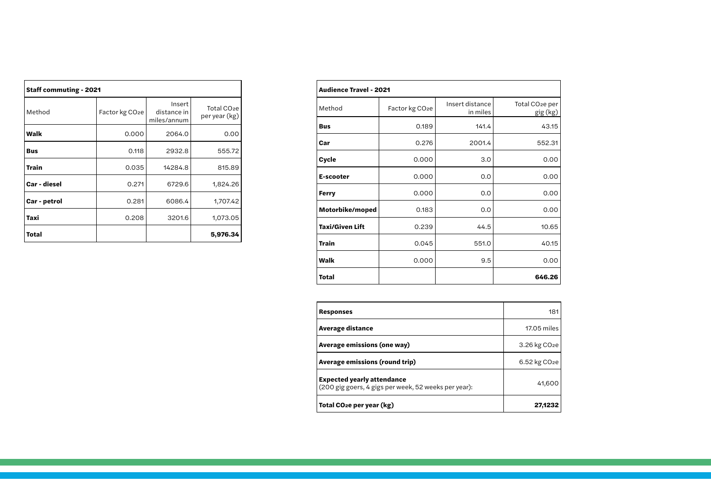| <b>Staff commuting - 2021</b> |                             |                                      |                                          |  |
|-------------------------------|-----------------------------|--------------------------------------|------------------------------------------|--|
| Method                        | Factor kg CO <sub>2</sub> e | Insert<br>distance in<br>miles/annum | Total CO <sub>2</sub> e<br>per year (kg) |  |
| Walk                          | 0.000                       | 2064.0                               | 0.00                                     |  |
| <b>Bus</b>                    | 0.118                       | 2932.8                               | 555.72                                   |  |
| Train                         | 0.035                       | 14284.8                              | 815.89                                   |  |
| Car - diesel                  | 0.271                       | 6729.6                               | 1,824.26                                 |  |
| Car - petrol                  | 0.281                       | 6086.4                               | 1,707.42                                 |  |
| Taxi                          | 0.208                       | 3201.6                               | 1,073.05                                 |  |
| <b>Total</b>                  |                             |                                      | 5,976.34                                 |  |

| <b>Audience Travel - 2021</b> |                            |                             |                                         |  |  |
|-------------------------------|----------------------------|-----------------------------|-----------------------------------------|--|--|
| Method                        | Factor kg CO <sub>2e</sub> | Insert distance<br>in miles | Total CO <sub>2</sub> e per<br>gig (kg) |  |  |
| <b>Bus</b>                    | 0.189                      | 141.4                       | 43.15                                   |  |  |
| Car                           | 0.276                      | 2001.4                      | 552.31                                  |  |  |
| Cycle                         | 0.000                      | 3.0                         | 0.00                                    |  |  |
| E-scooter                     | 0.000                      | 0.0                         | 0.00                                    |  |  |
| Ferry                         | 0.000                      | 0.0                         | 0.00                                    |  |  |
| Motorbike/moped               | 0.183                      | 0.0                         | 0.00                                    |  |  |
| <b>Taxi/Given Lift</b>        | 0.239                      | 44.5                        | 10.65                                   |  |  |
| <b>Train</b>                  | 0.045                      | 551.0                       | 40.15                                   |  |  |
| Walk                          | 0.000                      | 9.5                         | 0.00                                    |  |  |
| <b>Total</b>                  |                            |                             | 646.26                                  |  |  |

| <b>Responses</b>                                                                          | 181                           |
|-------------------------------------------------------------------------------------------|-------------------------------|
| Average distance                                                                          | 17.05 miles                   |
| Average emissions (one way)                                                               | $3.26$ kg $CO$ <sub>2</sub> e |
| Average emissions (round trip)                                                            | $6.52$ kg $CO$ <sub>2</sub> e |
| <b>Expected yearly attendance</b><br>(200 gig goers, 4 gigs per week, 52 weeks per year): | 41,600                        |
| Total CO <sub>2</sub> e per year (kg)                                                     | 27.1232                       |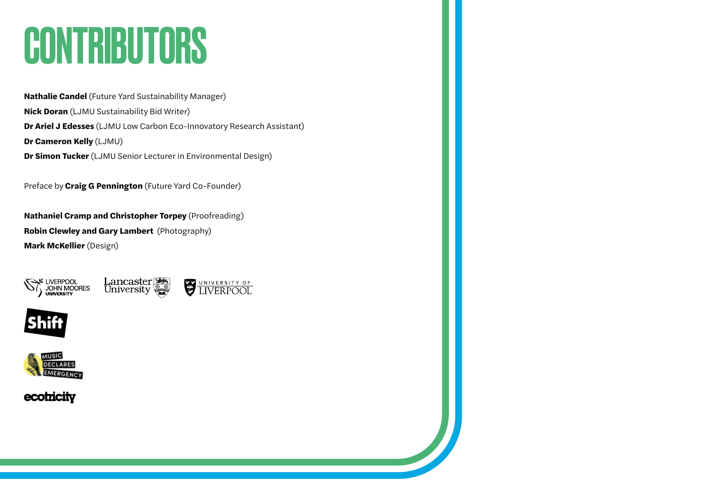# **CONTRIBUTORS**

**Nathalie Candel** (Future Yard Sustainability Manager) **Nick Doran** (LJMU Sustainability Bid Writer) **Dr Ariel J Edesses** (LJMU Low Carbon Eco-Innovatory Research Assistant) **Dr Cameron Kelly** (LJMU) **Dr Simon Tucker** (LJMU Senior Lecturer in Environmental Design)

Preface by **Craig G Pennington** (Future Yard Co-Founder)

**Nathaniel Cramp and Christopher Torpey** (Proofreading) **Robin Clewley and Gary Lambert** (Photography) **Mark McKellier** (Design)











#### ecomicity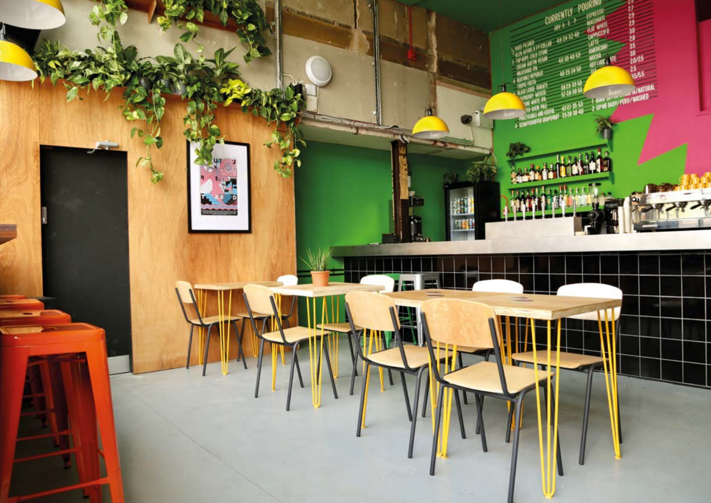